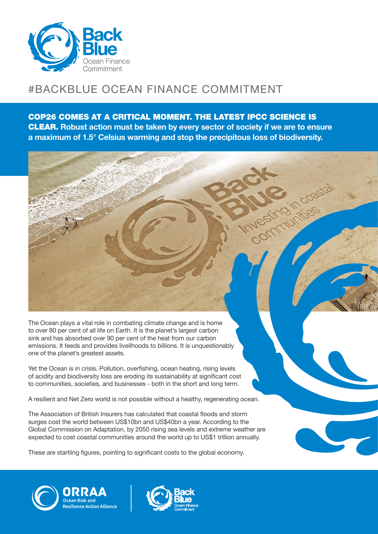

## #BACKBLUE OCEAN FINANCE COMMITMENT

COP26 COMES AT A CRITICAL MOMENT. THE LATEST IPCC SCIENCE IS CLEAR. **Robust action must be taken by every sector of society if we are to ensure a maximum of 1.5° Celsius warming and stop the precipitous loss of biodiversity.**



The Ocean plays a vital role in combating climate change and is home to over 80 per cent of all life on Earth. It is the planet's largest carbon sink and has absorbed over 90 per cent of the heat from our carbon emissions. It feeds and provides livelihoods to billions. It is unquestionably one of the planet's greatest assets.

Yet the Ocean is in crisis. Pollution, overfishing, ocean heating, rising levels of acidity and biodiversity loss are eroding its sustainability at significant cost to communities, societies, and businesses - both in the short and long term.

A resilient and Net Zero world is not possible without a healthy, regenerating ocean.

The Association of British Insurers has calculated that coastal floods and storm surges cost the world between US\$10bn and US\$40bn a year. According to the Global Commission on Adaptation, by 2050 rising sea levels and extreme weather are expected to cost coastal communities around the world up to US\$1 trillion annually.

These are startling figures, pointing to significant costs to the global economy.